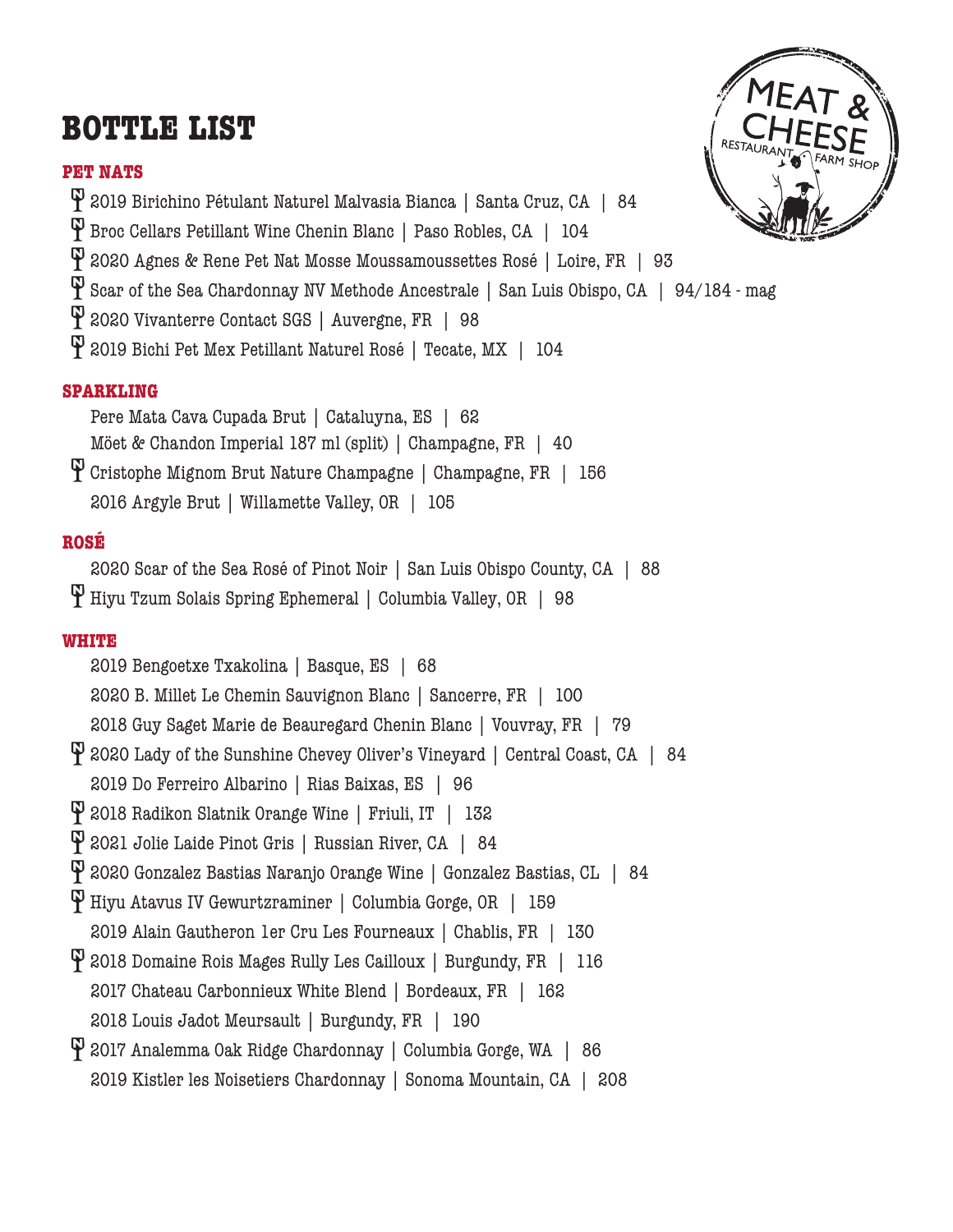# **BOTTLE LIST**

### **PET NATS**



2019 Birichino Pétulant Naturel Malvasia Bianca | Santa Cruz, CA | 84

Broc Cellars Petillant Wine Chenin Blanc | Paso Robles, CA | 104

2020 Agnes & Rene Pet Nat Mosse Moussamoussettes Rosé | Loire, FR | 93

Scar of the Sea Chardonnay NV Methode Ancestrale | San Luis Obispo, CA | 94/184 - mag

2020 Vivanterre Contact SGS | Auvergne, FR | 98

2019 Bichi Pet Mex Petillant Naturel Rosé | Tecate, MX | 104

## **SPARKLING**

Pere Mata Cava Cupada Brut | Cataluyna, ES | 62 Möet & Chandon Imperial 187 ml (split) | Champagne, FR | 40 Cristophe Mignom Brut Nature Champagne | Champagne, FR | 156

2016 Argyle Brut | Willamette Valley, OR | 105

## **ROSÉ**

2020 Scar of the Sea Rosé of Pinot Noir | San Luis Obispo County, CA | 88 Hiyu Tzum Solais Spring Ephemeral | Columbia Valley, OR | 98

## **WHITE**

2019 Bengoetxe Txakolina | Basque, ES | 68 2020 B. Millet Le Chemin Sauvignon Blanc | Sancerre, FR | 100 2018 Guy Saget Marie de Beauregard Chenin Blanc | Vouvray, FR | 79 P 2020 Lady of the Sunshine Chevey Oliver's Vineyard | Central Coast, CA | 84 2019 Do Ferreiro Albarino | Rias Baixas, ES | 96 2018 Radikon Slatnik Orange Wine | Friuli, IT | 132 2021 Jolie Laide Pinot Gris | Russian River, CA | 84 2020 Gonzalez Bastias Naranjo Orange Wine | Gonzalez Bastias, CL | 84 Hiyu Atavus IV Gewurtzraminer | Columbia Gorge, OR | 159 2019 Alain Gautheron 1er Cru Les Fourneaux | Chablis, FR | 130 2018 Domaine Rois Mages Rully Les Cailloux | Burgundy, FR | 116 2017 Chateau Carbonnieux White Blend | Bordeaux, FR | 162 2018 Louis Jadot Meursault | Burgundy, FR | 190 2017 Analemma Oak Ridge Chardonnay | Columbia Gorge, WA | 86 2019 Kistler les Noisetiers Chardonnay | Sonoma Mountain, CA | 208